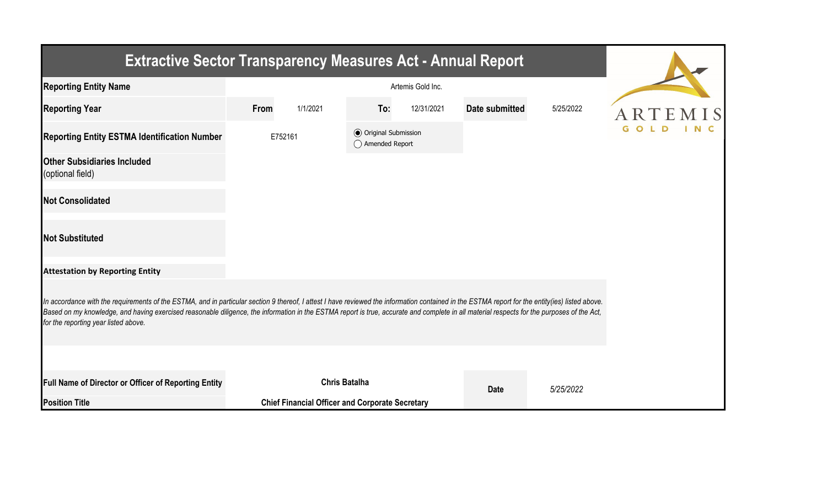| <b>Extractive Sector Transparency Measures Act - Annual Report</b>                                                                                                                                                                                                                                                                                                                                                                    |         |                                                        |                                                  |            |                       |           |  |
|---------------------------------------------------------------------------------------------------------------------------------------------------------------------------------------------------------------------------------------------------------------------------------------------------------------------------------------------------------------------------------------------------------------------------------------|---------|--------------------------------------------------------|--------------------------------------------------|------------|-----------------------|-----------|--|
| <b>Reporting Entity Name</b>                                                                                                                                                                                                                                                                                                                                                                                                          |         |                                                        |                                                  |            |                       |           |  |
| <b>Reporting Year</b>                                                                                                                                                                                                                                                                                                                                                                                                                 | From    | 1/1/2021                                               | To:                                              | 12/31/2021 | <b>Date submitted</b> | 5/25/2022 |  |
| <b>Reporting Entity ESTMA Identification Number</b>                                                                                                                                                                                                                                                                                                                                                                                   | E752161 |                                                        | <b>◎</b> Original Submission<br>◯ Amended Report |            |                       |           |  |
| <b>Other Subsidiaries Included</b><br>(optional field)                                                                                                                                                                                                                                                                                                                                                                                |         |                                                        |                                                  |            |                       |           |  |
| <b>Not Consolidated</b>                                                                                                                                                                                                                                                                                                                                                                                                               |         |                                                        |                                                  |            |                       |           |  |
| <b>Not Substituted</b>                                                                                                                                                                                                                                                                                                                                                                                                                |         |                                                        |                                                  |            |                       |           |  |
| <b>Attestation by Reporting Entity</b>                                                                                                                                                                                                                                                                                                                                                                                                |         |                                                        |                                                  |            |                       |           |  |
| In accordance with the requirements of the ESTMA, and in particular section 9 thereof, I attest I have reviewed the information contained in the ESTMA report for the entity(ies) listed above.<br>Based on my knowledge, and having exercised reasonable diligence, the information in the ESTMA report is true, accurate and complete in all material respects for the purposes of the Act,<br>for the reporting year listed above. |         |                                                        |                                                  |            |                       |           |  |
|                                                                                                                                                                                                                                                                                                                                                                                                                                       |         |                                                        |                                                  |            |                       |           |  |
| Full Name of Director or Officer of Reporting Entity                                                                                                                                                                                                                                                                                                                                                                                  |         |                                                        | <b>Chris Batalha</b>                             |            | <b>Date</b>           | 5/25/2022 |  |
| <b>Position Title</b>                                                                                                                                                                                                                                                                                                                                                                                                                 |         | <b>Chief Financial Officer and Corporate Secretary</b> |                                                  |            |                       |           |  |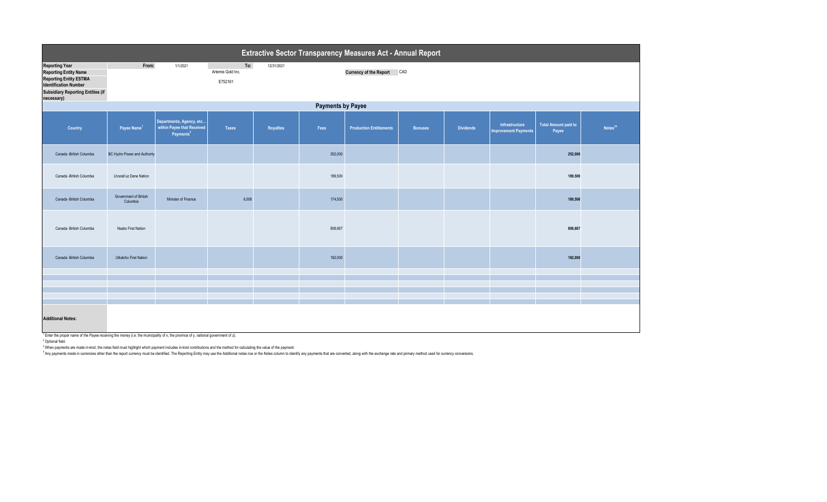| Extractive Sector Transparency Measures Act - Annual Report                                                                                                                      |                                   |                                                                                 |                                     |            |         |                                |                |                  |                                               |                                      |                     |  |
|----------------------------------------------------------------------------------------------------------------------------------------------------------------------------------|-----------------------------------|---------------------------------------------------------------------------------|-------------------------------------|------------|---------|--------------------------------|----------------|------------------|-----------------------------------------------|--------------------------------------|---------------------|--|
| <b>Reporting Year</b><br><b>Reporting Entity Name</b><br><b>Reporting Entity ESTMA</b><br><b>Identification Number</b><br><b>Subsidiary Reporting Entities (if</b><br>necessary) | From:                             | 1/1/2021                                                                        | To:<br>Artemis Gold Inc.<br>E752161 | 12/31/2021 |         | Currency of the Report CAD     |                |                  |                                               |                                      |                     |  |
| <b>Payments by Payee</b>                                                                                                                                                         |                                   |                                                                                 |                                     |            |         |                                |                |                  |                                               |                                      |                     |  |
| Country                                                                                                                                                                          | Payee Name <sup>1</sup>           | Departments, Agency, etc<br>within Payee that Received<br>Payments <sup>2</sup> | Taxes                               | Royalties  | Fees    | <b>Production Entitlements</b> | <b>Bonuses</b> | <b>Dividends</b> | Infrastructure<br><b>Improvement Payments</b> | <b>Total Amount paid to</b><br>Payee | Notes <sup>34</sup> |  |
| Canada - British Columbia                                                                                                                                                        | BC Hydro Power and Authority      |                                                                                 |                                     |            | 252,000 |                                |                |                  |                                               | 252,000                              |                     |  |
| Canada -British Columbia                                                                                                                                                         | Lhoosk'uz Dene Nation             |                                                                                 |                                     |            | 189,500 |                                |                |                  |                                               | 189,500                              |                     |  |
| Canada -British Columbia                                                                                                                                                         | Government of British<br>Columbia | Minister of Finance                                                             | 6,006                               |            | 174,500 |                                |                |                  |                                               | 180,506                              |                     |  |
| Canada -British Columbia                                                                                                                                                         | Nazko First Nation                |                                                                                 |                                     |            | 808,667 |                                |                |                  |                                               | 808,667                              |                     |  |
| Canada -British Columbia                                                                                                                                                         | Ulkatcho First Nation             |                                                                                 |                                     |            | 192,000 |                                |                |                  |                                               | 192,000                              |                     |  |
|                                                                                                                                                                                  |                                   |                                                                                 |                                     |            |         |                                |                |                  |                                               |                                      |                     |  |
|                                                                                                                                                                                  |                                   |                                                                                 |                                     |            |         |                                |                |                  |                                               |                                      |                     |  |
|                                                                                                                                                                                  |                                   |                                                                                 |                                     |            |         |                                |                |                  |                                               |                                      |                     |  |
| <b>Additional Notes:</b>                                                                                                                                                         |                                   |                                                                                 |                                     |            |         |                                |                |                  |                                               |                                      |                     |  |

 $^1$  Enter the proper name of the Payee receiving the money (i.e. the municipality of x, the province of y, national government of z).

2 Optional field.

3 When payments are made in-kind, the notes field must highlight which payment includes in-kind contributions and the method for calculating the value of the payment.

<sup>4</sup>Any payments made in currencies other than the report currency must be identified. The Reporting Entity may use the Additional notes row or the Notes column to identify any payments that are converted, along with the ex